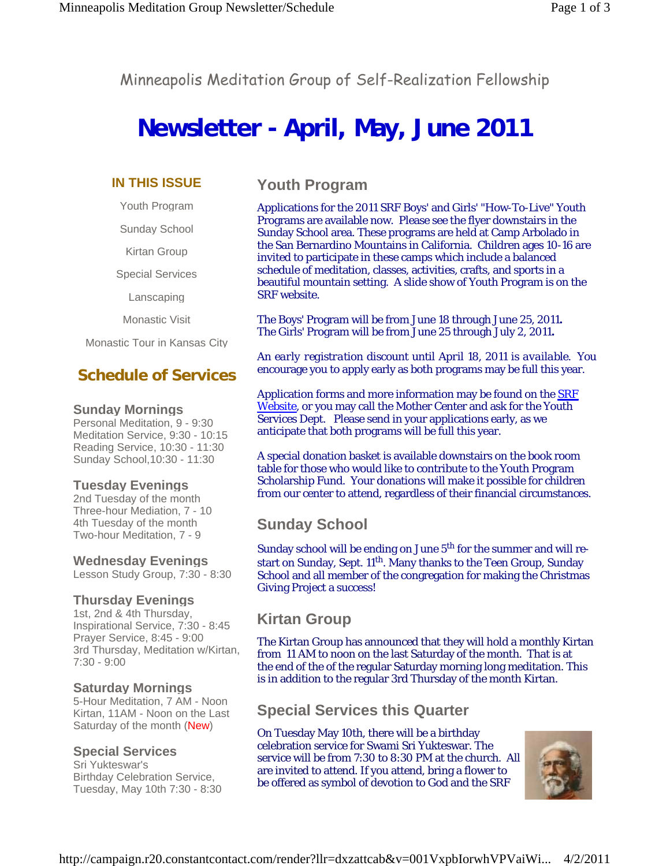Minneapolis Meditation Group of Self-Realization Fellowship

# **Newsletter - April, May, June 2011**

#### **IN THIS ISSUE**

Youth Program

Sunday School

Kirtan Group

Special Services

Lanscaping

Monastic Visit

Monastic Tour in Kansas City

## **Schedule of Services**

#### **Sunday Mornings**

Personal Meditation, 9 - 9:30 Meditation Service, 9:30 - 10:15 Reading Service, 10:30 - 11:30 Sunday School,10:30 - 11:30

#### **Tuesday Evenings**

2nd Tuesday of the month Three-hour Mediation, 7 - 10 4th Tuesday of the month Two-hour Meditation, 7 - 9

#### **Wednesday Evenings**

Lesson Study Group, 7:30 - 8:30

#### **Thursday Evenings**

1st, 2nd & 4th Thursday, Inspirational Service, 7:30 - 8:45 Prayer Service, 8:45 - 9:00 3rd Thursday, Meditation w/Kirtan, 7:30 - 9:00

#### **Saturday Mornings**

5-Hour Meditation, 7 AM - Noon Kirtan, 11AM - Noon on the Last Saturday of the month (New)

#### **Special Services**

Sri Yukteswar's Birthday Celebration Service, Tuesday, May 10th 7:30 - 8:30

## **Youth Program**

Applications for the 2011 SRF Boys' and Girls' "How-To-Live" Youth Programs are available now. Please see the flyer downstairs in the Sunday School area. These programs are held at Camp Arbolado in the San Bernardino Mountains in California. Children ages 10-16 are invited to participate in these camps which include a balanced schedule of meditation, classes, activities, crafts, and sports in a beautiful mountain setting. A slide show of Youth Program is on the SRF website.

The Boys' Program will be from June 18 through June 25, 2011**.** The Girls' Program will be from June 25 through July 2, 2011**.**

*An early registration discount until April 18, 2011 is available.* You encourage you to apply early as both programs may be full this year.

Application forms and more information may be found on the **SRF** Website, or you may call the Mother Center and ask for the Youth Services Dept. Please send in your applications early, as we anticipate that both programs will be full this year.

A special donation basket is available downstairs on the book room table for those who would like to contribute to the Youth Program Scholarship Fund. Your donations will make it possible for children from our center to attend, regardless of their financial circumstances.

# **Sunday School**

Sunday school will be ending on June 5<sup>th</sup> for the summer and will restart on Sunday, Sept. 11<sup>th</sup>. Many thanks to the Teen Group, Sunday School and all member of the congregation for making the Christmas Giving Project a success!

## **Kirtan Group**

The Kirtan Group has announced that they will hold a monthly Kirtan from 11 AM to noon on the last Saturday of the month. That is at the end of the of the regular Saturday morning long meditation. This is in addition to the regular 3rd Thursday of the month Kirtan.

## **Special Services this Quarter**

On Tuesday May 10th, there will be a birthday celebration service for Swami Sri Yukteswar. The service will be from 7:30 to 8:30 PM at the church. All are invited to attend. If you attend, bring a flower to be offered as symbol of devotion to God and the SRF

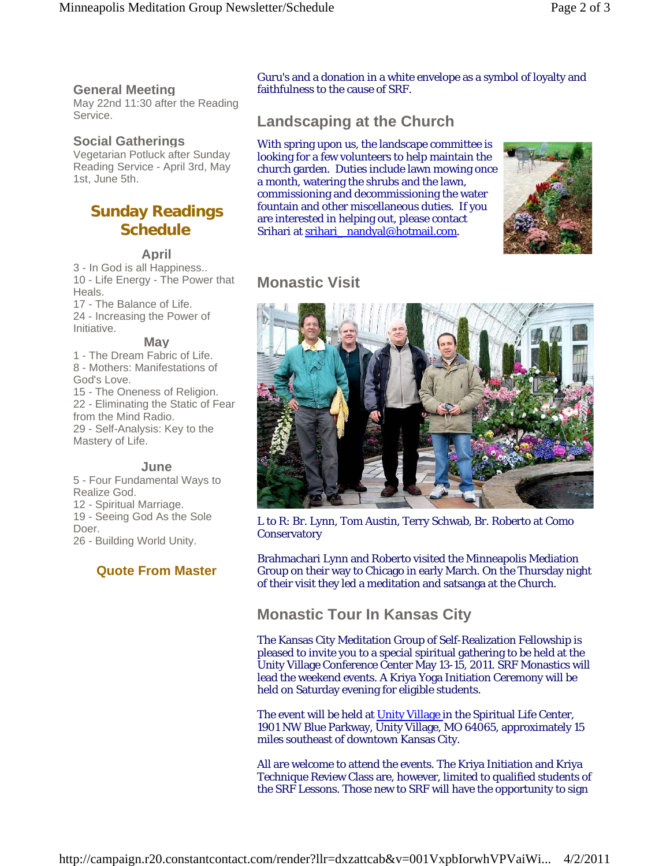#### **General Meeting**

May 22nd 11:30 after the Reading Service.

#### **Social Gatherings**

Vegetarian Potluck after Sunday Reading Service - April 3rd, May 1st, June 5th.

## **Sunday Readings Schedule**

#### **April**

3 - In God is all Happiness.. 10 - Life Energy - The Power that Heals.

17 - The Balance of Life. 24 - Increasing the Power of Initiative.

#### **May**

1 - The Dream Fabric of Life. 8 - Mothers: Manifestations of God's Love.

15 - The Oneness of Religion. 22 - Eliminating the Static of Fear from the Mind Radio. 29 - Self-Analysis: Key to the Mastery of Life.

#### **June**

5 - Four Fundamental Ways to Realize God. 12 - Spiritual Marriage. 19 - Seeing God As the Sole Doer. 26 - Building World Unity.

#### **Quote From Master**

Guru's and a donation in a white envelope as a symbol of loyalty and faithfulness to the cause of SRF.

# **Landscaping at the Church**

With spring upon us, the landscape committee is looking for a few volunteers to help maintain the church garden. Duties include lawn mowing once a month, watering the shrubs and the lawn, commissioning and decommissioning the water fountain and other miscellaneous duties. If you are interested in helping out, please contact Srihari at srihari\_nandyal@hotmail.com.



# **Monastic Visit**



L to R: Br. Lynn, Tom Austin, Terry Schwab, Br. Roberto at Como **Conservatory** 

Brahmachari Lynn and Roberto visited the Minneapolis Mediation Group on their way to Chicago in early March. On the Thursday night of their visit they led a meditation and satsanga at the Church.

## **Monastic Tour In Kansas City**

The Kansas City Meditation Group of Self-Realization Fellowship is pleased to invite you to a special spiritual gathering to be held at the Unity Village Conference Center May 13-15, 2011. SRF Monastics will lead the weekend events. A Kriya Yoga Initiation Ceremony will be held on Saturday evening for eligible students.

The event will be held at Unity Village in the Spiritual Life Center, 1901 NW Blue Parkway, Unity Village, MO 64065, approximately 15 miles southeast of downtown Kansas City.

All are welcome to attend the events. The Kriya Initiation and Kriya Technique Review Class are, however, limited to qualified students of the SRF Lessons. Those new to SRF will have the opportunity to sign